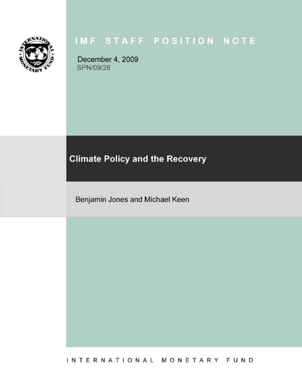

December 4, 2009 SPN/09/28

#### **Climate Policy and the Recovery**

Benjamin Jones and Michael Keen

INTERNATIONAL MONETARY FUND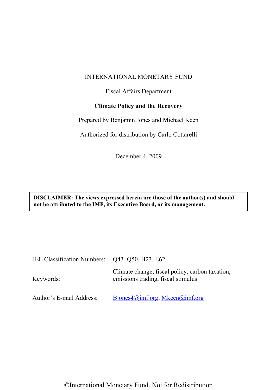#### INTERNATIONAL MONETARY FUND

#### Fiscal Affairs Department

# **Climate Policy and the Recovery**

Prepared by Benjamin Jones and Michael Keen

Authorized for distribution by Carlo Cottarelli

December 4, 2009

**DISCLAIMER: The views expressed herein are those of the author(s) and should not be attributed to the IMF, its Executive Board, or its management.** 

| JEL Classification Numbers: Q43, Q50, H23, E62 |                                                                                       |
|------------------------------------------------|---------------------------------------------------------------------------------------|
| Keywords:                                      | Climate change, fiscal policy, carbon taxation,<br>emissions trading, fiscal stimulus |
| Author's E-mail Address:                       | Bjones $4\omega$ imf.org; Mkeen $\omega$ imf.org                                      |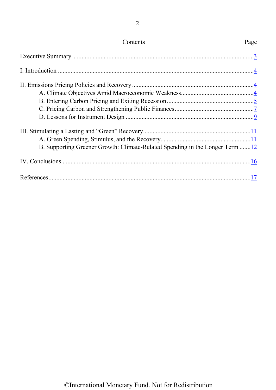<span id="page-2-0"></span>

| Contents                                                                     | Page |
|------------------------------------------------------------------------------|------|
|                                                                              |      |
|                                                                              |      |
|                                                                              |      |
| B. Supporting Greener Growth: Climate-Related Spending in the Longer Term 12 |      |
|                                                                              |      |
|                                                                              |      |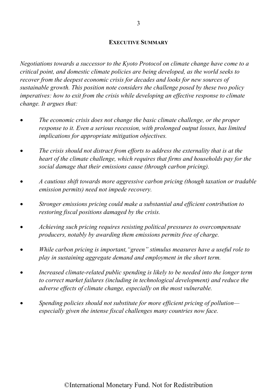#### **[EXECUTIVE SUMMARY](#page-2-0)**

<span id="page-3-0"></span>*Negotiations towards a successor to the Kyoto Protocol on climate change have come to a critical point, and domestic climate policies are being developed, as the world seeks to recover from the deepest economic crisis for decades and looks for new sources of sustainable growth. This position note considers the challenge posed by these two policy imperatives: how to exit from the crisis while developing an effective response to climate change. It argues that:* 

- x *The economic crisis does not change the basic climate challenge, or the proper response to it. Even a serious recession, with prolonged output losses, has limited implications for appropriate mitigation objectives.*
- x *The crisis should not distract from efforts to address the externality that is at the heart of the climate challenge, which requires that firms and households pay for the social damage that their emissions cause (through carbon pricing).*
- x *A cautious shift towards more aggressive carbon pricing (though taxation or tradable emission permits) need not impede recovery.*
- x *Stronger emissions pricing could make a substantial and efficient contribution to restoring fiscal positions damaged by the crisis.*
- x *Achieving such pricing requires resisting political pressures to overcompensate producers, notably by awarding them emissions permits free of charge.*
- x *While carbon pricing is important,"green" stimulus measures have a useful role to play in sustaining aggregate demand and employment in the short term.*
- x *Increased climate-related public spending is likely to be needed into the longer term to correct market failures (including in technological development) and reduce the adverse effects of climate change, especially on the most vulnerable.*
- x *Spending policies should not substitute for more efficient pricing of pollution especially given the intense fiscal challenges many countries now face.*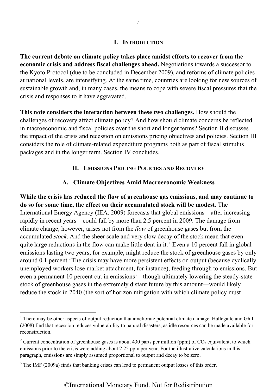#### **[I. INTRODUCTION](#page-2-0)**

<span id="page-4-0"></span>**The current debate on climate policy takes place amidst efforts to recover from the economic crisis and address fiscal challenges ahead.** Negotiations towards a successor to the Kyoto Protocol (due to be concluded in December 2009), and reforms of climate policies at national levels, are intensifying. At the same time, countries are looking for new sources of sustainable growth and, in many cases, the means to cope with severe fiscal pressures that the crisis and responses to it have aggravated.

<span id="page-4-2"></span><span id="page-4-1"></span>**This note considers the interaction between these two challenges.** How should the challenges of recovery affect climate policy? And how should climate concerns be reflected in macroeconomic and fiscal policies over the short and longer terms? Section II discusses the impact of the crisis and recession on emissions pricing objectives and policies. Section III considers the role of climate-related expenditure programs both as part of fiscal stimulus packages and in the longer term. Section IV concludes.

#### **[II. EMISSIONS](#page-2-0) PRICING POLICIES AND RECOVERY**

### **[A. Climate Objectives Amid Macroeconomic Weakness](#page-2-0)**

**While the crisis has reduced the flow of greenhouse gas emissions, and may continue to do so for some time, the effect on their accumulated stock will be modest**. The International Energy Agency (IEA, 2009) forecasts that global emissions—after increasing rapidly in recent years—could fall by more than 2.5 percent in 2009. The damage from climate change, however, arises not from the *flow* of greenhouse gases but from the accumulated *stock*. And the sheer scale and very slow decay of the stock mean that even quite large reductions in the flow can make little dent in it.  $\frac{1}{2}$  Even a 10 percent fall in global emissions lasting two years, for example, might reduce the stock of greenhouse gases by only around 0.1 percent.<sup>2</sup> The crisis may have more persistent effects on output (because cyclically unemployed workers lose market attachment, for instance), feeding through to emissions. But even a permanent 10 percent cut in emissions<sup>3</sup>—though ultimately lowering the steady-state stock of greenhouse gases in the extremely distant future by this amount—would likely reduce the stock in 2040 (the sort of horizon mitigation with which climate policy must

<sup>&</sup>lt;sup>1</sup> There may be other aspects of output reduction that ameliorate potential climate damage. Hallegatte and Ghil (2008) find that recession reduces vulnerability to natural disasters, as idle resources can be made available for reconstruction.

<sup>&</sup>lt;sup>2</sup> Current concentration of greenhouse gases is about 430 parts per million (ppm) of  $CO_2$  equivalent, to which emissions prior to the crisis were adding about 2.25 ppm per year. For the illustrative calculations in this paragraph, emissions are simply assumed proportional to output and decay to be zero.

 $3$  The IMF (2009a) finds that banking crises can lead to permanent output losses of this order.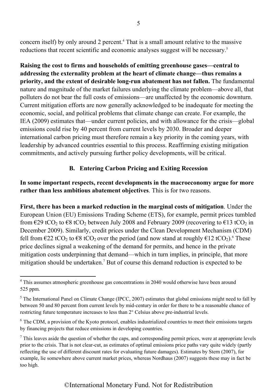<span id="page-5-0"></span>concern itself) by only around 2 percent.<sup>4</sup> That is a small amount relative to the massive reductions that recent scientific and economic analyses suggest will be necessary.<sup>5</sup>

**Raising the cost to firms and households of emitting greenhouse gases—central to addressing the externality problem at the heart of climate change—thus remains a priority, and the extent of desirable long-run abatement has not fallen.** The fundamental nature and magnitude of the market failures underlying the climate problem—above all, that polluters do not bear the full costs of emissions—are unaffected by the economic downturn. Current mitigation efforts are now generally acknowledged to be inadequate for meeting the economic, social, and political problems that climate change can create. For example, the IEA (2009) estimates that—under current policies, and with allowance for the crisis—global emissions could rise by 40 percent from current levels by 2030. Broader and deeper international carbon pricing must therefore remain a key priority in the coming years, with leadership by advanced countries essential to this process. Reaffirming existing mitigation commitments, and actively pursuing further policy developments, will be critical.

# **[B. Entering Carbon Pricing and Exiting Recession](#page-2-0)**

# **In some important respects, recent developments in the macroeconomy argue for more rather than less ambitious abatement objectives**. This is for two reasons.

**First, there has been a marked reduction in the marginal costs of mitigation**. Under the European Union (EU) Emissions Trading Scheme (ETS), for example, permit prices tumbled from  $\epsilon$ 29 tCO<sub>2</sub> to  $\epsilon$ 8 tCO<sub>2</sub> between July 2008 and February 2009 (recovering to  $\epsilon$ 13 tCO<sub>2</sub> in December 2009). Similarly, credit prices under the Clean Development Mechanism (CDM) fell from €22 tCO<sub>2</sub> to €8 tCO<sub>2</sub> over the period (and now stand at roughly €12 tCO<sub>2</sub>).<sup>6</sup> These price declines signal a weakening of the demand for permits, and hence in the private mitigation costs underpinning that demand—which in turn implies, in principle, that more mitigation should be undertaken.<sup>7</sup> But of course this demand reduction is expected to be

<sup>&</sup>lt;sup>4</sup> This assumes atmospheric greenhouse gas concentrations in 2040 would otherwise have been around 525 ppm.

 $<sup>5</sup>$  The International Panel on Climate Change (IPCC, 2007) estimates that global emissions might need to fall by</sup> between 50 and 80 percent from current levels by mid-century in order for there to be a reasonable chance of restricting future temperature increases to less than 2° Celsius above pre-industrial levels.

<sup>&</sup>lt;sup>6</sup> The CDM, a provision of the Kyoto protocol, enables industrialized countries to meet their emissions targets by financing projects that reduce emissions in developing countries.

 $<sup>7</sup>$  This leaves aside the question of whether the caps, and corresponding permit prices, were at appropriate levels</sup> prior to the crisis. That is not clear-cut, as estimates of optimal emissions price paths vary quite widely (partly reflecting the use of different discount rates for evaluating future damages). Estimates by Stern (2007), for example, lie somewhere above current market prices, whereas Nordhaus (2007) suggests these may in fact be too high.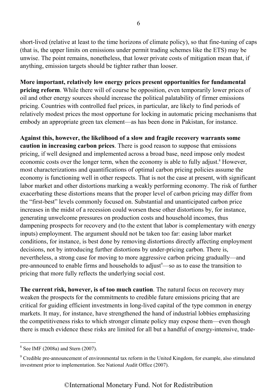short-lived (relative at least to the time horizons of climate policy), so that fine-tuning of caps (that is, the upper limits on emissions under permit trading schemes like the ETS) may be unwise. The point remains, nonetheless, that lower private costs of mitigation mean that, if anything, emission targets should be tighter rather than looser.

**More important, relatively low energy prices present opportunities for fundamental pricing reform**. While there will of course be opposition, even temporarily lower prices of oil and other energy sources should increase the political palatability of firmer emissions pricing. Countries with controlled fuel prices, in particular, are likely to find periods of relatively modest prices the most opportune for locking in automatic pricing mechanisms that embody an appropriate green tax element—as has been done in Pakistan, for instance.

**Against this, however, the likelihood of a slow and fragile recovery warrants some caution in increasing carbon prices**. There is good reason to suppose that emissions pricing, if well designed and implemented across a broad base, need impose only modest economic costs over the longer term, when the economy is able to fully adjust.<sup>8</sup> However, most characterizations and quantifications of optimal carbon pricing policies assume the economy is functioning well in other respects. That is not the case at present, with significant labor market and other distortions marking a weakly performing economy. The risk of further exacerbating these distortions means that the proper level of carbon pricing may differ from the "first-best" levels commonly focused on. Substantial and unanticipated carbon price increases in the midst of a recession could worsen these other distortions by, for instance, generating unwelcome pressures on production costs and household incomes, thus dampening prospects for recovery and (to the extent that labor is complementary with energy inputs) employment. The argument should not be taken too far: easing labor market conditions, for instance, is best done by removing distortions directly affecting employment decisions, not by introducing further distortions by under-pricing carbon. There is, nevertheless, a strong case for moving to more aggressive carbon pricing gradually—and pre-announced to enable firms and households to adjust<sup>9</sup>—so as to ease the transition to pricing that more fully reflects the underlying social cost.

**The current risk, however, is of too much caution**. The natural focus on recovery may weaken the prospects for the commitments to credible future emissions pricing that are critical for guiding efficient investments in long-lived capital of the type common in energy markets. It may, for instance, have strengthened the hand of industrial lobbies emphasizing the competitiveness risks to which stronger climate policy may expose them—even though there is much evidence these risks are limited for all but a handful of energy-intensive, trade-

<sup>8</sup> See IMF (2008a) and Stern (2007).

<sup>&</sup>lt;sup>9</sup> Credible pre-announcement of environmental tax reform in the United Kingdom, for example, also stimulated investment prior to implementation. See National Audit Office (2007).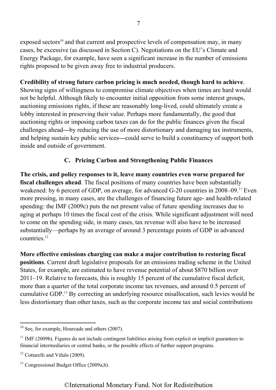<span id="page-7-0"></span>exposed sectors<sup>10</sup> and that current and prospective levels of compensation may, in many cases, be excessive (as discussed in Section C). Negotiations on the EU's Climate and Energy Package, for example, have seen a significant increase in the number of emissions rights proposed to be given away free to industrial producers.

# **Credibility of strong future carbon pricing is much needed, though hard to achieve**.

Showing signs of willingness to compromise climate objectives when times are hard would not be helpful. Although likely to encounter initial opposition from some interest groups, auctioning emissions rights, if these are reasonably long-lived, could ultimately create a lobby interested in preserving their value. Perhaps more fundamentally, the good that auctioning rights or imposing carbon taxes can do for the public finances given the fiscal challenges ahead**—**by reducing the use of more distortionary and damaging tax instruments, and helping sustain key public services**—**could serve to build a constituency of support both inside and outside of government.

# **[C. Pricing Carbon and Strengthening Public Finances](#page-2-0)**

**The crisis, and policy responses to it, leave many countries even worse prepared for fiscal challenges ahead**. The fiscal positions of many countries have been substantially weakened: by 6 percent of GDP, on average, for advanced G-20 countries in 2008–09.<sup>11</sup> Even more pressing, in many cases, are the challenges of financing future age- and health-related spending: the IMF (2009c) puts the net present value of future spending increases due to aging at perhaps 10 times the fiscal cost of the crisis. While significant adjustment will need to come on the spending side, in many cases, tax revenue will also have to be increased substantially—perhaps by an average of around 3 percentage points of GDP in advanced countries.<sup>12</sup>

**More effective emissions charging can make a major contribution to restoring fiscal positions**. Current draft legislative proposals for an emissions trading scheme in the United States, for example, are estimated to have revenue potential of about \$870 billion over 2011–19. Relative to forecasts, this is roughly 15 percent of the cumulative fiscal deficit, more than a quarter of the total corporate income tax revenues, and around 0.5 percent of cumulative GDP.13 By correcting an underlying resource misallocation, such levies would be less distortionary than other taxes, such as the corporate income tax and social contributions

 $10$  See, for example, Hourcade and others (2007).

 $11$  IMF (2009b). Figures do not include contingent liabilities arising from explicit or implicit guarantees to financial intermediaries or central banks, or the possible effects of further support programs.

<sup>&</sup>lt;sup>12</sup> Cottarelli and Viñals (2009).

<sup>13</sup> Congressional Budget Office (2009a,b).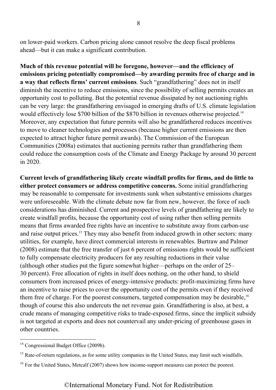on lower-paid workers. Carbon pricing alone cannot resolve the deep fiscal problems ahead—but it can make a significant contribution.

**Much of this revenue potential will be foregone, however—and the efficiency of emissions pricing potentially compromised—by awarding permits free of charge and in a way that reflects firms' current emissions**. Such "grandfathering" does not in itself diminish the incentive to reduce emissions, since the possibility of selling permits creates an opportunity cost to polluting. But the potential revenue dissipated by not auctioning rights can be very large: the grandfathering envisaged in emerging drafts of U.S. climate legislation would effectively lose \$700 billion of the \$870 billion in revenues otherwise projected.<sup>14</sup> Moreover, any expectation that future permits will also be grandfathered reduces incentives to move to cleaner technologies and processes (because higher current emissions are then expected to attract higher future permit awards). The Commission of the European Communities (2008a) estimates that auctioning permits rather than grandfathering them could reduce the consumption costs of the Climate and Energy Package by around 30 percent in 2020.

**Current levels of grandfathering likely create windfall profits for firms, and do little to either protect consumers or address competitive concerns.** Some initial grandfathering may be reasonable to compensate for investments sunk when substantive emissions charges were unforeseeable. With the climate debate now far from new, however, the force of such considerations has diminished. Current and prospective levels of grandfathering are likely to create windfall profits, because the opportunity cost of using rather then selling permits means that firms awarded free rights have an incentive to substitute away from carbon-use and raise output prices.<sup>15</sup> They may also benefit from induced growth in other sectors: many utilities, for example, have direct commercial interests in renewables. Burtraw and Palmer (2008) estimate that the free transfer of just 6 percent of emissions rights would be sufficient to fully compensate electricity producers for any resulting reductions in their value (although other studies put the figure somewhat higher—perhaps on the order of 25– 30 percent). Free allocation of rights in itself does nothing, on the other hand, to shield consumers from increased prices of energy-intensive products: profit-maximizing firms have an incentive to raise prices to cover the opportunity cost of the permits even if they received them free of charge. For the poorest consumers, targeted compensation may be desirable,<sup>16</sup> though of course this also undercuts the net revenue gain. Grandfathering is also, at best, a crude means of managing competitive risks to trade-exposed firms, since the implicit subsidy is not targeted at exports and does not countervail any under-pricing of greenhouse gases in other countries.

<sup>&</sup>lt;sup>14</sup> Congressional Budget Office (2009b).

<sup>&</sup>lt;sup>15</sup> Rate-of-return regulations, as for some utility companies in the United States, may limit such windfalls.

<sup>&</sup>lt;sup>16</sup> For the United States, Metcalf (2007) shows how income-support measures can protect the poorest.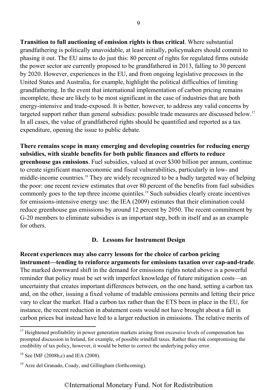**Transition to full auctioning of emission rights is thus critical**. Where substantial grandfathering is politically unavoidable, at least initially, policymakers should commit to phasing it out. The EU aims to do just this: 80 percent of rights for regulated firms outside the power sector are currently proposed to be grandfathered in 2013, falling to 30 percent by 2020. However, experiences in the EU, and from ongoing legislative processes in the United States and Australia, for example, highlight the political difficulties of limiting grandfathering. In the event that international implementation of carbon pricing remains incomplete, these are likely to be most significant in the case of industries that are both energy-intensive and trade-exposed. It is better, however, to address any valid concerns by targeted support rather than general subsidies: possible trade measures are discussed below.<sup>17</sup> In all cases, the value of grandfathered rights should be quantified and reported as a tax expenditure, opening the issue to public debate.

<span id="page-9-0"></span>**There remains scope in many emerging and developing countries for reducing energy subsidies, with sizable benefits for both public finances and efforts to reduce greenhouse gas emissions**. Fuel subsidies, valued at over \$300 billion per annum, continue to create significant macroeconomic and fiscal vulnerabilities, particularly in low- and middle-income countries.<sup>18</sup> They are widely recognized to be a badly targeted way of helping the poor: one recent review estimates that over 80 percent of the benefits from fuel subsidies commonly goes to the top three income quintiles.<sup>19</sup> Such subsidies clearly create incentives for emissions-intensive energy use: the IEA (2009) estimates that their elimination could reduce greenhouse gas emissions by around 12 percent by 2050. The recent commitment by G-20 members to eliminate subsidies is an important step, both in itself and as an example for others.

#### **[D. Lessons for Instrument Design](#page-2-0)**

**Recent experiences may also carry lessons for the choice of carbon pricing instrument—tending to reinforce arguments for emissions taxation over cap-and-trade**. The marked downward shift in the demand for emissions rights noted above is a powerful reminder that policy must be set with imperfect knowledge of future mitigation costs—an uncertainty that creates important differences between, on the one hand, setting a carbon tax and, on the other, issuing a fixed volume of tradable emissions permits and letting their price vary to clear the market. Had a carbon tax rather than the ETS been in place in the EU, for instance, the recent reduction in abatement costs would not have brought about a fall in carbon prices but instead have led to a larger reduction in emissions. The relative merits of

 $17$  Heightened profitability in power generation markets arising from excessive levels of compensation has prompted discussion in Ireland, for example, of possible windfall taxes. Rather than risk compromising the credibility of tax policy, however, it would be better to correct the underlying policy error.

 $18$  See IMF (2008b,c) and IEA (2008).

<sup>&</sup>lt;sup>19</sup> Arze del Granado, Coady, and Gillingham (forthcoming).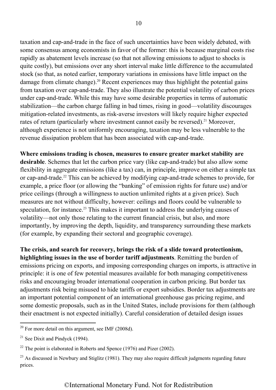taxation and cap-and-trade in the face of such uncertainties have been widely debated, with some consensus among economists in favor of the former: this is because marginal costs rise rapidly as abatement levels increase (so that not allowing emissions to adjust to shocks is quite costly), but emissions over any short interval make little difference to the accumulated stock (so that, as noted earlier, temporary variations in emissions have little impact on the damage from climate change).<sup>20</sup> Recent experiences may thus highlight the potential gains from taxation over cap-and-trade. They also illustrate the potential volatility of carbon prices under cap-and-trade. While this may have some desirable properties in terms of automatic stabilization—the carbon charge falling in bad times, rising in good—volatility discourages mitigation-related investments, as risk-averse investors will likely require higher expected rates of return (particularly where investment cannot easily be reversed).<sup>21</sup> Moreover, although experience is not uniformly encouraging, taxation may be less vulnerable to the revenue dissipation problem that has been associated with cap-and-trade.

**Where emissions trading is chosen, measures to ensure greater market stability are desirable**. Schemes that let the carbon price vary (like cap-and-trade) but also allow some flexibility in aggregate emissions (like a tax) can, in principle, improve on either a simple tax or cap-and-trade.<sup>22</sup> This can be achieved by modifying cap-and-trade schemes to provide, for example, a price floor (or allowing the "banking" of emission rights for future use) and/or price ceilings (through a willingness to auction unlimited rights at a given price). Such measures are not without difficulty, however: ceilings and floors could be vulnerable to speculation, for instance.<sup>23</sup> This makes it important to address the underlying causes of volatility—not only those relating to the current financial crisis, but also, and more importantly, by improving the depth, liquidity, and transparency surrounding these markets (for example, by expanding their sectoral and geographic coverage).

**The crisis, and search for recovery, brings the risk of a slide toward protectionism, highlighting issues in the use of border tariff adjustments**. Remitting the burden of emissions pricing on exports, and imposing corresponding charges on imports, is attractive in principle: it is one of few potential measures available for both managing competitiveness risks and encouraging broader international cooperation in carbon pricing. But border tax adjustments risk being misused to hide tariffs or export subsidies. Border tax adjustments are an important potential component of an international greenhouse gas pricing regime, and some domestic proposals, such as in the United States, include provisions for them (although their enactment is not expected initially). Careful consideration of detailed design issues

 $20$  For more detail on this argument, see IMF (2008d).

 $21$  See Dixit and Pindyck (1994).

 $22$  The point is elaborated in Roberts and Spence (1976) and Pizer (2002).

 $^{23}$  As discussed in Newbury and Stiglitz (1981). They may also require difficult judgments regarding future prices.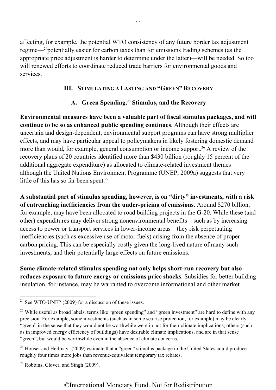<span id="page-11-1"></span><span id="page-11-0"></span>affecting, for example, the potential WTO consistency of any future border tax adjustment regime— $^{24}$ potentially easier for carbon taxes than for emissions trading schemes (as the appropriate price adjustment is harder to determine under the latter)—will be needed. So too will renewed efforts to coordinate reduced trade barriers for environmental goods and services.

### **[III. STIMULATING A LASTING AND](#page-2-0) "GREEN" RECOVERY**

# A. Green Spending,<sup>25</sup> Stimulus, and the Recovery

**Environmental measures have been a valuable part of fiscal stimulus packages, and will continue to be so as enhanced public spending continues**. Although their effects are uncertain and design-dependent, environmental support programs can have strong multiplier effects, and may have particular appeal to policymakers in likely fostering domestic demand more than would, for example, general consumption or income support.<sup>26</sup> A review of the recovery plans of 20 countries identified more than \$430 billion (roughly 15 percent of the additional aggregate expenditure) as allocated to climate-related investment themes although the United Nations Environment Programme (UNEP, 2009a) suggests that very little of this has so far been spent. $27$ 

**A substantial part of stimulus spending, however, is on "dirty" investments, with a risk of entrenching inefficiencies from the under-pricing of emissions**. Around \$270 billion, for example, may have been allocated to road building projects in the G-20. While these (and other) expenditures may deliver strong nonenvironmental benefits—such as by increasing access to power or transport services in lower-income areas—they risk perpetuating inefficiencies (such as excessive use of motor fuels) arising from the absence of proper carbon pricing. This can be especially costly given the long-lived nature of many such investments, and their potentially large effects on future emissions.

**Some climate-related stimulus spending not only helps short-run recovery but also reduces exposure to future energy or emissions price shocks**. Subsidies for better building insulation, for instance, may be warranted to overcome informational and other market

<sup>&</sup>lt;sup>24</sup> See WTO-UNEP (2009) for a discussion of these issues.

 $25$  While useful as broad labels, terms like "green spending" and "green investment" are hard to define with any precision. For example, some investments (such as in some sea rise protection, for example) may be clearly "green" in the sense that they would not be worthwhile were in not for their climate implications; others (such as in improved energy efficiency of buildings) have desirable climate implications, and are in that sense "green", but would be worthwhile even in the absence of climate concerns.

<sup>&</sup>lt;sup>26</sup> Houser and Heilmayr (2009) estimate that a "green" stimulus package in the United States could produce roughly four times more jobs than revenue-equivalent temporary tax rebates.

 $27$  Robbins, Clover, and Singh (2009).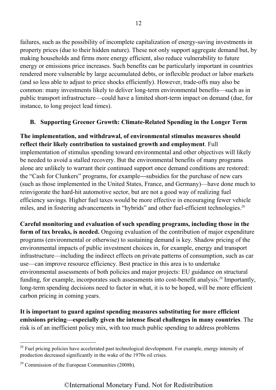<span id="page-12-0"></span>failures, such as the possibility of incomplete capitalization of energy-saving investments in property prices (due to their hidden nature). These not only support aggregate demand but, by making households and firms more energy efficient, also reduce vulnerability to future energy or emissions price increases. Such benefits can be particularly important in countries rendered more vulnerable by large accumulated debts, or inflexible product or labor markets (and so less able to adjust to price shocks efficiently). However, trade-offs may also be common: many investments likely to deliver long-term environmental benefits—such as in public transport infrastructure—could have a limited short-term impact on demand (due, for instance, to long project lead times).

# **[B. Supporting Greener Growth: Climate-Related Spending in the Longer Term](#page-2-0)**

**The implementation, and withdrawal, of environmental stimulus measures should reflect their likely contribution to sustained growth and employment**. Full implementation of stimulus spending toward environmental and other objectives will likely be needed to avoid a stalled recovery. But the environmental benefits of many programs alone are unlikely to warrant their continued support once demand conditions are restored: the "Cash for Clunkers" programs, for example*—*subsidies for the purchase of new cars (such as those implemented in the United States, France, and Germany)—have done much to reinvigorate the hard-hit automotive sector, but are not a good way of realizing fuel efficiency savings. Higher fuel taxes would be more effective in encouraging fewer vehicle miles, and in fostering advancements in "hybrids" and other fuel-efficient technologies.<sup>28</sup>

**Careful monitoring and evaluation of such spending programs, including those in the form of tax breaks, is needed.** Ongoing evaluation of the contribution of major expenditure programs (environmental or otherwise) to sustaining demand is key. Shadow pricing of the environmental impacts of public investment choices in, for example, energy and transport infrastructure—including the indirect effects on private patterns of consumption, such as car use—can improve resource efficiency. Best practice in this area is to undertake environmental assessments of both policies and major projects: EU guidance on structural funding, for example, incorporates such assessments into cost-benefit analysis.<sup>29</sup> Importantly, long-term spending decisions need to factor in what, it is to be hoped, will be more efficient carbon pricing in coming years.

**It is important to guard against spending measures substituting for more efficient emissions pricing—especially given the intense fiscal challenges in many countries**. The risk is of an inefficient policy mix, with too much public spending to address problems

<sup>&</sup>lt;sup>28</sup> Fuel pricing policies have accelerated past technological development. For example, energy intensity of production decreased significantly in the wake of the 1970s oil crises.

 $29$  Commission of the European Communities (2008b).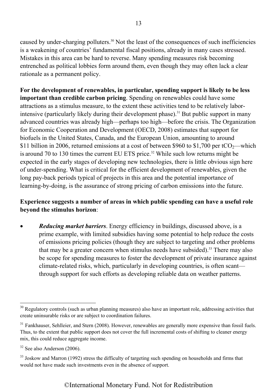caused by under-charging polluters.30 Not the least of the consequences of such inefficiencies is a weakening of countries' fundamental fiscal positions, already in many cases stressed. Mistakes in this area can be hard to reverse. Many spending measures risk becoming entrenched as political lobbies form around them, even though they may often lack a clear rationale as a permanent policy.

**For the development of renewables, in particular, spending support is likely to be less important than credible carbon pricing**. Spending on renewables could have some attractions as a stimulus measure, to the extent these activities tend to be relatively laborintensive (particularly likely during their development phase).<sup>31</sup> But public support in many advanced countries was already high—perhaps too high—before the crisis. The Organization for Economic Cooperation and Development (OECD, 2008) estimates that support for biofuels in the United States, Canada, and the European Union, amounting to around \$11 billion in 2006, returned emissions at a cost of between \$960 to \$1,700 per tCO<sub>2</sub>—which is around 70 to 130 times the current EU ETS price.<sup>32</sup> While such low returns might be expected in the early stages of developing new technologies, there is little obvious sign here of under-spending. What is critical for the efficient development of renewables, given the long pay-back periods typical of projects in this area and the potential importance of learning-by-doing, is the assurance of strong pricing of carbon emissions into the future.

# **Experience suggests a number of areas in which public spending can have a useful role beyond the stimulus horizon**:

x *Reducing market barriers*. Energy efficiency in buildings, discussed above, is a prime example, with limited subsidies having some potential to help reduce the costs of emissions pricing policies (though they are subject to targeting and other problems that may be a greater concern when stimulus needs have subsided).<sup>33</sup> There may also be scope for spending measures to foster the development of private insurance against climate-related risks, which, particularly in developing countries, is often scant through support for such efforts as developing reliable data on weather patterns.

<sup>&</sup>lt;sup>30</sup> Regulatory controls (such as urban planning measures) also have an important role, addressing activities that create uninsurable risks or are subject to coordination failures.

<sup>&</sup>lt;sup>31</sup> Fankhauser, Sehlleier, and Stern (2008). However, renewables are generally more expensive than fossil fuels. Thus, to the extent that public support does not cover the full incremental costs of shifting to cleaner energy mix, this could reduce aggregate income.

<sup>&</sup>lt;sup>32</sup> See also Anderson (2006).

<sup>&</sup>lt;sup>33</sup> Joskow and Marron (1992) stress the difficulty of targeting such spending on households and firms that would not have made such investments even in the absence of support.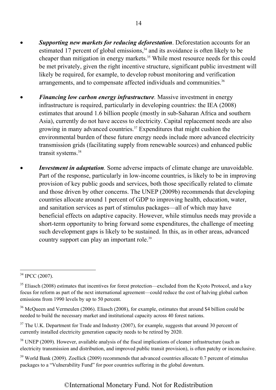- **Supporting new markets for reducing deforestation**. Deforestation accounts for an estimated 17 percent of global emissions, $34$  and its avoidance is often likely to be cheaper than mitigation in energy markets.35 While most resource needs for this could be met privately, given the right incentive structure, significant public investment will likely be required, for example, to develop robust monitoring and verification arrangements, and to compensate affected individuals and communities.<sup>36</sup>
- *Financing low carbon energy infrastructure*. Massive investment in energy infrastructure is required, particularly in developing countries: the IEA (2008) estimates that around 1.6 billion people (mostly in sub-Saharan Africa and southern Asia), currently do not have access to electricity. Capital replacement needs are also growing in many advanced countries.<sup>37</sup> Expenditures that might cushion the environmental burden of these future energy needs include more advanced electricity transmission grids (facilitating supply from renewable sources) and enhanced public transit systems.<sup>38</sup>
- *Investment in adaptation*. Some adverse impacts of climate change are unavoidable. Part of the response, particularly in low-income countries, is likely to be in improving provision of key public goods and services, both those specifically related to climate and those driven by other concerns. The UNEP (2009b) recommends that developing countries allocate around 1 percent of GDP to improving health, education, water, and sanitation services as part of stimulus packages—all of which may have beneficial effects on adaptive capacity. However, while stimulus needs may provide a short-term opportunity to bring forward some expenditures, the challenge of meeting such development gaps is likely to be sustained. In this, as in other areas, advanced country support can play an important role.<sup>39</sup>

<sup>34</sup> IPCC (2007).

<sup>&</sup>lt;sup>35</sup> Eliasch (2008) estimates that incentives for forest protection—excluded from the Kyoto Protocol, and a key focus for reform as part of the next international agreement—could reduce the cost of halving global carbon emissions from 1990 levels by up to 50 percent.

<sup>&</sup>lt;sup>36</sup> McQueen and Vermeulen (2006). Eliasch (2008), for example, estimates that around \$4 billion could be needed to build the necessary market and institutional capacity across 40 forest nations.

<sup>&</sup>lt;sup>37</sup> The U.K. Department for Trade and Industry (2007), for example, suggests that around 30 percent of currently installed electricity generation capacity needs to be retired by 2020.

<sup>&</sup>lt;sup>38</sup> UNEP (2009). However, available analysis of the fiscal implications of cleaner infrastructure (such as electricity transmission and distribution, and improved public transit provision), is often patchy or inconclusive.

 $39$  World Bank (2009). Zoellick (2009) recommends that advanced countries allocate 0.7 percent of stimulus packages to a "Vulnerability Fund" for poor countries suffering in the global downturn.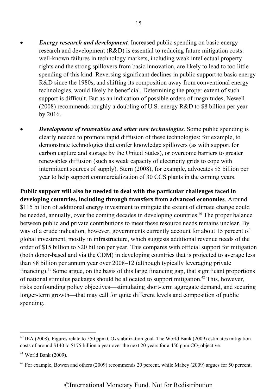- *Energy research and development.* Increased public spending on basic energy research and development (R&D) is essential to reducing future mitigation costs: well-known failures in technology markets, including weak intellectual property rights and the strong spillovers from basic innovation, are likely to lead to too little spending of this kind. Reversing significant declines in public support to basic energy R&D since the 1980s, and shifting its composition away from conventional energy technologies, would likely be beneficial. Determining the proper extent of such support is difficult. But as an indication of possible orders of magnitudes, Newell (2008) recommends roughly a doubling of U.S. energy R&D to \$8 billion per year by 2016.
- *Development of renewables and other new technologies.* **Some public spending is** clearly needed to promote rapid diffusion of these technologies; for example, to demonstrate technologies that confer knowledge spillovers (as with support for carbon capture and storage by the United States), or overcome barriers to greater renewables diffusion (such as weak capacity of electricity grids to cope with intermittent sources of supply). Stern (2008), for example, advocates \$5 billion per year to help support commercialization of 30 CCS plants in the coming years.

**Public support will also be needed to deal with the particular challenges faced in developing countries, including through transfers from advanced economies**. Around \$115 billion of additional energy investment to mitigate the extent of climate change could be needed, annually, over the coming decades in developing countries.<sup>40</sup> The proper balance between public and private contributions to meet these resource needs remains unclear. By way of a crude indication, however, governments currently account for about 15 percent of global investment, mostly in infrastructure, which suggests additional revenue needs of the order of \$15 billion to \$20 billion per year. This compares with official support for mitigation (both donor-based and via the CDM) in developing countries that is projected to average less than \$8 billion per annum year over 2008–12 (although typically leveraging private financing).<sup>41</sup> Some argue, on the basis of this large financing gap, that significant proportions of national stimulus packages should be allocated to support mitigation.<sup>42</sup> This, however, risks confounding policy objectives—stimulating short-term aggregate demand, and securing longer-term growth—that may call for quite different levels and composition of public spending.

<sup>&</sup>lt;sup>40</sup> IEA (2008). Figures relate to 550 ppm  $CO_2$  stabilization goal. The World Bank (2009) estimates mitigation costs of around \$140 to \$175 billion a year over the next 20 years for a 450 ppm  $CO<sub>2</sub>$  objective.

 $41$  World Bank (2009).

<sup>&</sup>lt;sup>42</sup> For example, Bowen and others (2009) recommends 20 percent, while Mabey (2009) argues for 50 percent.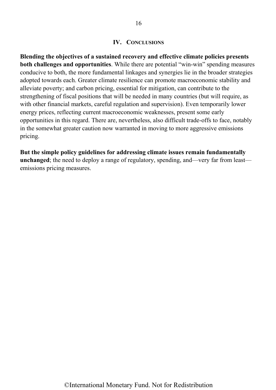#### **[IV. CONCLUSIONS](#page-2-0)**

<span id="page-16-0"></span>**Blending the objectives of a sustained recovery and effective climate policies presents both challenges and opportunities**. While there are potential "win-win" spending measures conducive to both, the more fundamental linkages and synergies lie in the broader strategies adopted towards each. Greater climate resilience can promote macroeconomic stability and alleviate poverty; and carbon pricing, essential for mitigation, can contribute to the strengthening of fiscal positions that will be needed in many countries (but will require, as with other financial markets, careful regulation and supervision). Even temporarily lower energy prices, reflecting current macroeconomic weaknesses, present some early opportunities in this regard. There are, nevertheless, also difficult trade-offs to face, notably in the somewhat greater caution now warranted in moving to more aggressive emissions pricing.

**But the simple policy guidelines for addressing climate issues remain fundamentally unchanged**; the need to deploy a range of regulatory, spending, and—very far from least emissions pricing measures.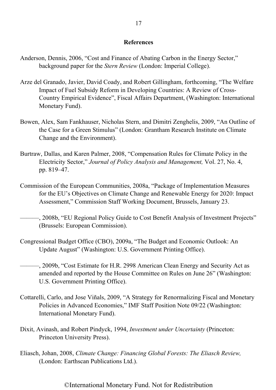#### **[References](#page-2-0)**

- <span id="page-17-0"></span>Anderson, Dennis, 2006, "Cost and Finance of Abating Carbon in the Energy Sector," background paper for the *Stern Review* (London: Imperial College).
- Arze del Granado, Javier, David Coady, and Robert Gillingham, forthcoming, "The Welfare Impact of Fuel Subsidy Reform in Developing Countries: A Review of Cross-Country Empirical Evidence", Fiscal Affairs Department, (Washington: International Monetary Fund).
- Bowen, Alex, Sam Fankhauser, Nicholas Stern, and Dimitri Zenghelis, 2009, "An Outline of the Case for a Green Stimulus" (London: Grantham Research Institute on Climate Change and the Environment).
- Burtraw, Dallas, and Karen Palmer, 2008, "Compensation Rules for Climate Policy in the Electricity Sector," *Journal of Policy Analysis and Management,* Vol. 27, No. 4, pp. 819–47.
- Commission of the European Communities, 2008a, "Package of Implementation Measures for the EU's Objectives on Climate Change and Renewable Energy for 2020: Impact Assessment," Commission Staff Working Document, Brussels, January 23.
- ———, 2008b, "EU Regional Policy Guide to Cost Benefit Analysis of Investment Projects" (Brussels: European Commission).
- Congressional Budget Office (CBO), 2009a, "The Budget and Economic Outlook: An Update August" (Washington: U.S. Government Printing Office).
- ———, 2009b, "Cost Estimate for H.R. 2998 American Clean Energy and Security Act as amended and reported by the House Committee on Rules on June 26" (Washington: U.S. Government Printing Office).
- Cottarelli, Carlo, and Jose Viñals, 2009, "A Strategy for Renormalizing Fiscal and Monetary Policies in Advanced Economies," IMF Staff Position Note 09/22 (Washington: International Monetary Fund).
- Dixit, Avinash, and Robert Pindyck, 1994, *Investment under Uncertainty* (Princeton: Princeton University Press).
- Eliasch, Johan, 2008, *Climate Change: Financing Global Forests: The Eliasch Review,* (London: Earthscan Publications Ltd.).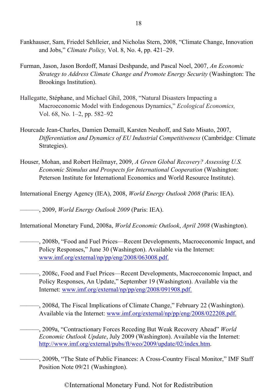- Fankhauser, Sam, Friedel Sehlleier, and Nicholas Stern, 2008, "Climate Change, Innovation and Jobs," *Climate Policy,* Vol. 8, No. 4, pp. 421–29.
- Furman, Jason, Jason Bordoff, Manasi Deshpande, and Pascal Noel, 2007, *An Economic Strategy to Address Climate Change and Promote Energy Security* (Washington: The Brookings Institution).
- Hallegatte, Stéphane, and Michael Ghil, 2008, "Natural Disasters Impacting a Macroeconomic Model with Endogenous Dynamics," *Ecological Economics,* Vol. 68, No. 1–2, pp. 582–92
- Hourcade Jean-Charles, Damien Demaill, Karsten Neuhoff, and Sato Misato, 2007, *Differentiation and Dynamics of EU Industrial Competitiveness* (Cambridge: Climate Strategies).
- Houser, Mohan, and Robert Heilmayr, 2009, *A Green Global Recovery? Assessing U.S. Economic Stimulus and Prospects for International Cooperation* (Washington: Peterson Institute for International Economics and World Resource Institute).

International Energy Agency (IEA), 2008, *World Energy Outlook 2008* (Paris: IEA).

———, 2009, *World Energy Outlook 2009* (Paris: IEA).

International Monetary Fund, 2008a, *World Economic Outlook*, *April 2008* (Washington).

- ———, 2008b, "Food and Fuel Prices—Recent Developments, Macroeconomic Impact, and Policy Responses," June 30 (Washington). Available via the Internet: [www.imf.org/external/np/pp/eng/2008/063008.pdf.](www.imf.org/external/np/pp/eng/2008/063008.pdf)
- ———, 2008c, Food and Fuel Prices—Recent Developments, Macroeconomic Impact, and Policy Responses, An Update," September 19 (Washington). Available via the Internet: [www.imf.org/external/np/pp/eng/2008/091908.pdf.](www.imf.org/external/np/pp/eng/2008/091908.pdf)

———, 2008d, The Fiscal Implications of Climate Change," February 22 (Washington). Available via the Internet: [www.imf.org/external/np/pp/eng/2008/022208.pdf.](www.imf.org/external/np/pp/eng/2008/022208.pdf)

———, 2009a, "Contractionary Forces Receding But Weak Recovery Ahead" *World Economic Outlook Update*, July 2009 (Washington). Available via the Internet: [http://www.imf.org/external/pubs/ft/weo/2009/update/02/index.htm.](http://www.imf.org/external/pubs/ft/weo/2009/update/02/index.htm)

———, 2009b, "The State of Public Finances: A Cross-Country Fiscal Monitor," IMF Staff Position Note 09/21 (Washington).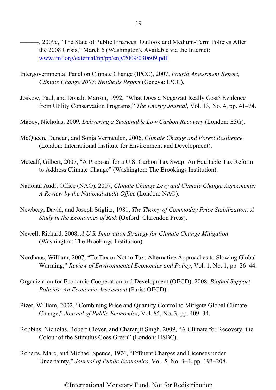- ———, 2009c, "The State of Public Finances: Outlook and Medium-Term Policies After the 2008 Crisis," March 6 (Washington). Available via the Internet: <www.imf.org/external/np/pp/eng/2009/030609.pdf>
- Intergovernmental Panel on Climate Change (IPCC), 2007, *Fourth Assessment Report, Climate Change 2007: Synthesis Report* (Geneva: IPCC).
- Joskow, Paul, and Donald Marron, 1992, "What Does a Negawatt Really Cost? Evidence from Utility Conservation Programs," *The Energy Journal*, Vol. 13, No. 4, pp. 41–74.
- Mabey, Nicholas, 2009, *Delivering a Sustainable Low Carbon Recovery* (London: E3G).
- McQueen, Duncan, and Sonja Vermeulen, 2006, *Climate Change and Forest Resilience*  (London: International Institute for Environment and Development).
- Metcalf, Gilbert, 2007, "A Proposal for a U.S. Carbon Tax Swap: An Equitable Tax Reform to Address Climate Change" (Washington: The Brookings Institution).
- National Audit Office (NAO), 2007, *Climate Change Levy and Climate Change Agreements: A Review by the National Audit Office* (London: NAO).
- Newbery, David, and Joseph Stiglitz, 1981, *The Theory of Commodity Price Stabilization: A Study in the Economics of Risk* (Oxford: Clarendon Press).
- Newell, Richard, 2008, *A U.S. Innovation Strategy for Climate Change Mitigation*  (Washington: The Brookings Institution).
- Nordhaus, William, 2007, "To Tax or Not to Tax: Alternative Approaches to Slowing Global Warming," *Review of Environmental Economics and Policy*, Vol. 1, No. 1, pp. 26–44.
- Organization for Economic Cooperation and Development (OECD), 2008, *Biofuel Support Policies: An Economic Assessment* (Paris: OECD).
- Pizer, William, 2002, "Combining Price and Quantity Control to Mitigate Global Climate Change," *Journal of Public Economics,* Vol. 85, No. 3, pp. 409–34.
- Robbins, Nicholas, Robert Clover, and Charanjit Singh, 2009, "A Climate for Recovery: the Colour of the Stimulus Goes Green" (London: HSBC).
- Roberts, Marc, and Michael Spence, 1976, "Effluent Charges and Licenses under Uncertainty," *Journal of Public Economics*, Vol. 5, No. 3–4, pp. 193–208.